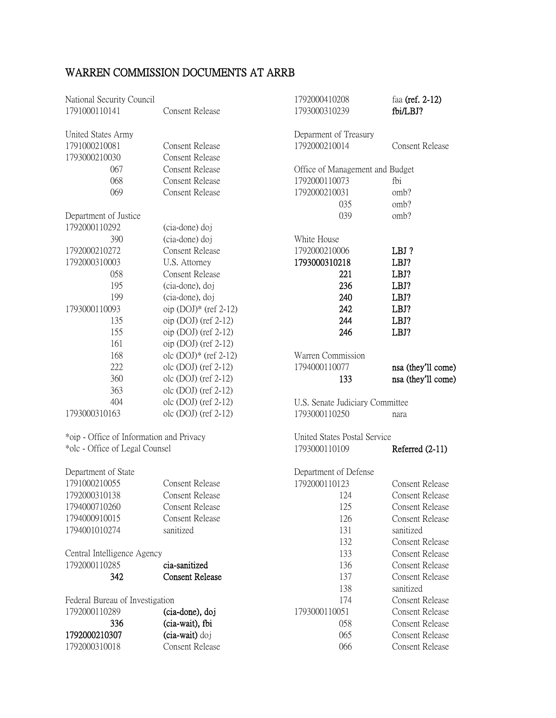## WARREN COMMISSION DOCUMENTS AT ARRB

| National Security Council<br>1791000110141 | <b>Consent Release</b>  | 1792000410208<br>1793000310239  | faa (ref. 2-12)<br>fbi/LBJ? |
|--------------------------------------------|-------------------------|---------------------------------|-----------------------------|
| United States Army                         |                         | Deparment of Treasury           |                             |
| 1791000210081                              | <b>Consent Release</b>  | 1792000210014                   | <b>Consent Release</b>      |
| 1793000210030                              | <b>Consent Release</b>  |                                 |                             |
| 067                                        | <b>Consent Release</b>  | Office of Management and Budget |                             |
| 068                                        | <b>Consent Release</b>  | 1792000110073                   | fbi                         |
| 069                                        | <b>Consent Release</b>  | 1792000210031                   | omb?                        |
|                                            |                         | 035                             | omb?                        |
| Department of Justice                      |                         | 039                             | omb?                        |
| 1792000110292                              | (cia-done) doj          |                                 |                             |
| 390                                        | (cia-done) doj          | White House                     |                             |
| 1792000210272                              | <b>Consent Release</b>  | 1792000210006                   | LBJ?                        |
| 1792000310003                              | U.S. Attorney           | 1793000310218                   | LBJ?                        |
| 058                                        | <b>Consent Release</b>  | 221                             | LBJ?                        |
| 195                                        | (cia-done), doj         | 236                             | LBJ?                        |
| 199                                        | (cia-done), doj         | 240                             | LBJ?                        |
| 1793000110093                              | oip $(DOI)*$ (ref 2-12) | 242                             | LBJ?                        |
| 135                                        | oip $(DOJ)$ (ref 2-12)  | 244                             | LBJ?                        |
| 155                                        | oip $(DOJ)$ (ref 2-12)  | 246                             | LBJ?                        |
| 161                                        | oip $(DOJ)$ (ref 2-12)  |                                 |                             |
| 168                                        | olc $(DOJ)*(ref 2-12)$  | Warren Commission               |                             |
| 222                                        | olc $(DOJ)$ (ref 2-12)  | 1794000110077                   | nsa (they'll come)          |
| 360                                        | olc $(DOJ)$ (ref 2-12)  | 133                             | nsa (they'll come)          |
| 363                                        | olc $(DOJ)$ (ref 2-12)  |                                 |                             |
| 404                                        | olc $(DOJ)$ (ref 2-12)  | U.S. Senate Judiciary Committee |                             |
| 1793000310163                              | olc $(DOJ)$ (ref 2-12)  | 1793000110250                   | nara                        |
| *oip - Office of Information and Privacy   |                         | United States Postal Service    |                             |
| *olc - Office of Legal Counsel             |                         | 1793000110109                   | Referred (2-11)             |
| Department of State                        |                         | Department of Defense           |                             |
| 1791000210055                              | <b>Consent Release</b>  | 1792000110123                   | <b>Consent Release</b>      |
| 1792000310138                              | Consent Release         | 124                             | Consent Release             |
| 1794000710260                              | Consent Release         | 125                             | <b>Consent Release</b>      |
| 1794000910015                              | <b>Consent Release</b>  | 126                             | <b>Consent Release</b>      |
| 1794001010274                              | sanitized               | 131                             | sanitized                   |
|                                            |                         | 132                             | <b>Consent Release</b>      |
| Central Intelligence Agency                |                         | 133                             | <b>Consent Release</b>      |
| 1792000110285                              | cia-sanitized           | 136                             | <b>Consent Release</b>      |
| 342                                        | <b>Consent Release</b>  | 137                             | <b>Consent Release</b>      |
|                                            |                         | 138                             | sanitized                   |
| Federal Bureau of Investigation            |                         | 174                             | <b>Consent Release</b>      |
| 1792000110289                              | (cia-done), doj         | 1793000110051                   | <b>Consent Release</b>      |
| 336                                        | (cia-wait), fbi         | 058                             | <b>Consent Release</b>      |
| 1792000210307                              | (cia-wait) doj          | 065                             | <b>Consent Release</b>      |
| 1792000310018                              | <b>Consent Release</b>  | 066                             | <b>Consent Release</b>      |
|                                            |                         |                                 |                             |